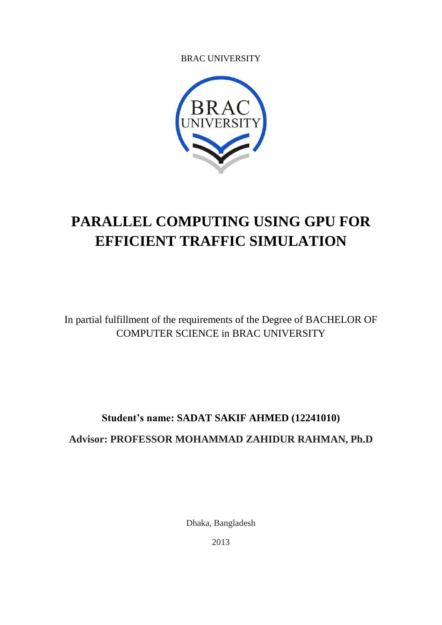BRAC UNIVERSITY



# **PARALLEL COMPUTING USING GPU FOR EFFICIENT TRAFFIC SIMULATION**

In partial fulfillment of the requirements of the Degree of BACHELOR OF COMPUTER SCIENCE in BRAC UNIVERSITY

# **Student's name: SADAT SAKIF AHMED (12241010) Advisor: PROFESSOR MOHAMMAD ZAHIDUR RAHMAN, Ph.D**

Dhaka, Bangladesh

2013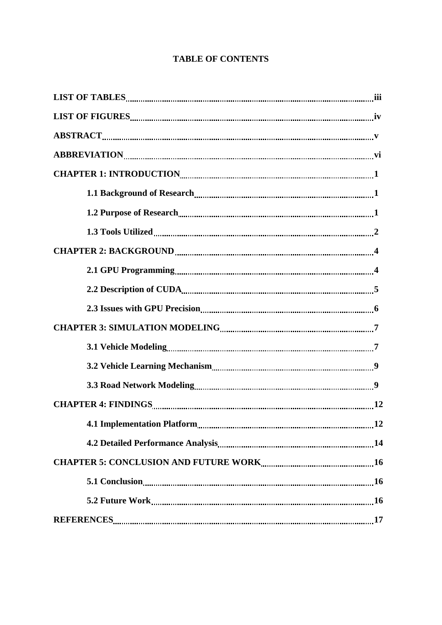# **TABLE OF CONTENTS**

| $\textbf{ABSTRACT}_{\textcolor{red}{\textbf{a}}\textcolor{green}{\textbf{a}}\textcolor{green}{\textbf{b}}\textcolor{green}{\textbf{b}}\textcolor{green}{\textbf{b}}\textcolor{green}{\textbf{b}}\textcolor{red}{\textbf{b}}\textcolor{red}{\textbf{b}}\textcolor{red}{\textbf{b}}\textcolor{red}{\textbf{b}}\textcolor{red}{\textbf{b}}\textcolor{red}{\textbf{b}}\textcolor{red}{\textbf{b}}\textcolor{red}{\textbf{b}}\textcolor{red}{\textbf{b}}\textcolor{red}{\textbf{b}}\textcolor{red}{\textbf{b}}\textcolor{red}{\textbf$ |
|-----------------------------------------------------------------------------------------------------------------------------------------------------------------------------------------------------------------------------------------------------------------------------------------------------------------------------------------------------------------------------------------------------------------------------------------------------------------------------------------------------------------------------------|
|                                                                                                                                                                                                                                                                                                                                                                                                                                                                                                                                   |
|                                                                                                                                                                                                                                                                                                                                                                                                                                                                                                                                   |
|                                                                                                                                                                                                                                                                                                                                                                                                                                                                                                                                   |
|                                                                                                                                                                                                                                                                                                                                                                                                                                                                                                                                   |
|                                                                                                                                                                                                                                                                                                                                                                                                                                                                                                                                   |
|                                                                                                                                                                                                                                                                                                                                                                                                                                                                                                                                   |
|                                                                                                                                                                                                                                                                                                                                                                                                                                                                                                                                   |
|                                                                                                                                                                                                                                                                                                                                                                                                                                                                                                                                   |
|                                                                                                                                                                                                                                                                                                                                                                                                                                                                                                                                   |
|                                                                                                                                                                                                                                                                                                                                                                                                                                                                                                                                   |
|                                                                                                                                                                                                                                                                                                                                                                                                                                                                                                                                   |
|                                                                                                                                                                                                                                                                                                                                                                                                                                                                                                                                   |
|                                                                                                                                                                                                                                                                                                                                                                                                                                                                                                                                   |
|                                                                                                                                                                                                                                                                                                                                                                                                                                                                                                                                   |
|                                                                                                                                                                                                                                                                                                                                                                                                                                                                                                                                   |
|                                                                                                                                                                                                                                                                                                                                                                                                                                                                                                                                   |
|                                                                                                                                                                                                                                                                                                                                                                                                                                                                                                                                   |
|                                                                                                                                                                                                                                                                                                                                                                                                                                                                                                                                   |
|                                                                                                                                                                                                                                                                                                                                                                                                                                                                                                                                   |
|                                                                                                                                                                                                                                                                                                                                                                                                                                                                                                                                   |
|                                                                                                                                                                                                                                                                                                                                                                                                                                                                                                                                   |
|                                                                                                                                                                                                                                                                                                                                                                                                                                                                                                                                   |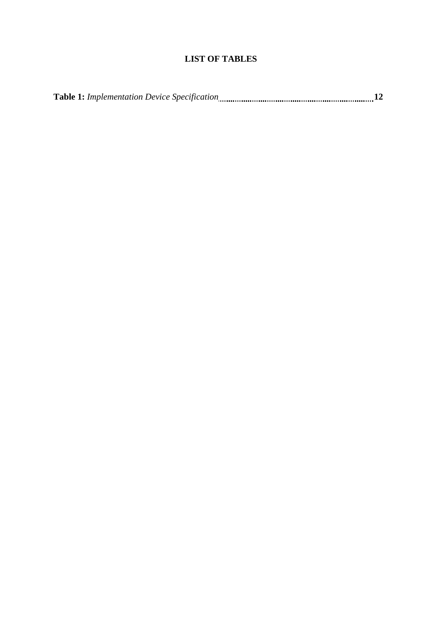# **LIST OF TABLES**

| <b>Table 1:</b> Implementation Device Specification |  |  |  |
|-----------------------------------------------------|--|--|--|
|-----------------------------------------------------|--|--|--|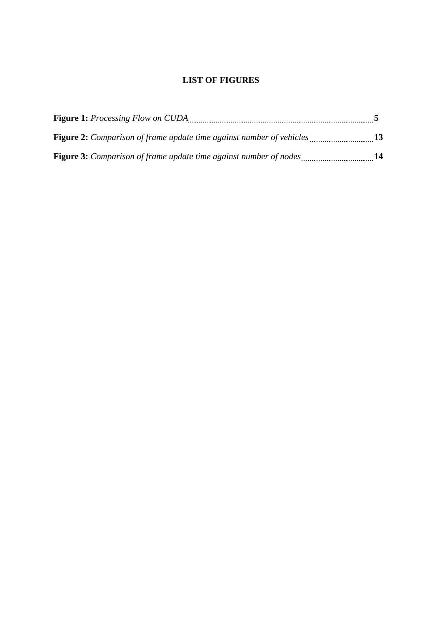# **LIST OF FIGURES**

| <b>Figure 2:</b> Comparison of frame update time against number of vehicles13 |  |
|-------------------------------------------------------------------------------|--|
| <b>Figure 3:</b> Comparison of frame update time against number of nodes14    |  |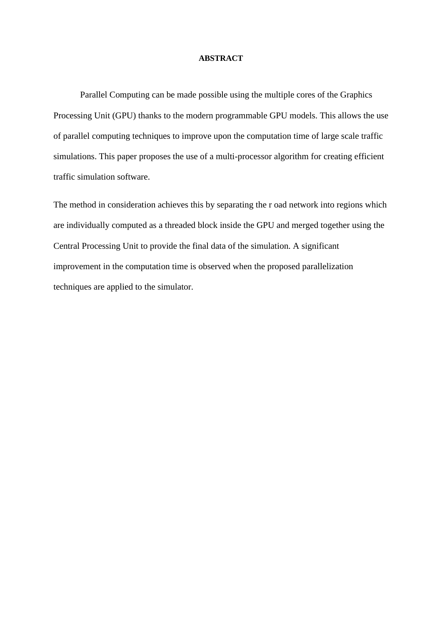#### **ABSTRACT**

Parallel Computing can be made possible using the multiple cores of the Graphics Processing Unit (GPU) thanks to the modern programmable GPU models. This allows the use of parallel computing techniques to improve upon the computation time of large scale traffic simulations. This paper proposes the use of a multi-processor algorithm for creating efficient traffic simulation software.

The method in consideration achieves this by separating the r oad network into regions which are individually computed as a threaded block inside the GPU and merged together using the Central Processing Unit to provide the final data of the simulation. A significant improvement in the computation time is observed when the proposed parallelization techniques are applied to the simulator.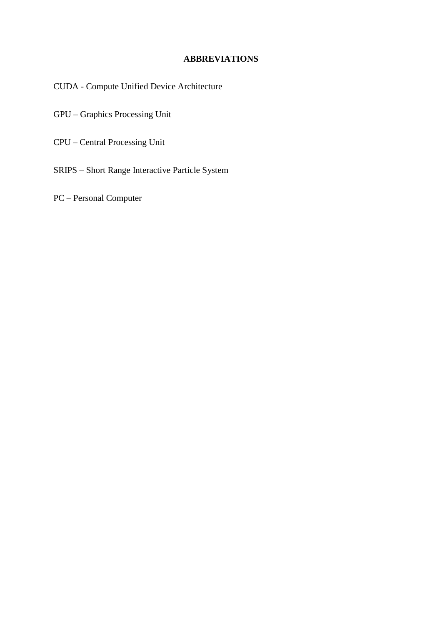# **ABBREVIATIONS**

CUDA - Compute Unified Device Architecture

GPU – Graphics Processing Unit

CPU – Central Processing Unit

SRIPS – Short Range Interactive Particle System

PC – Personal Computer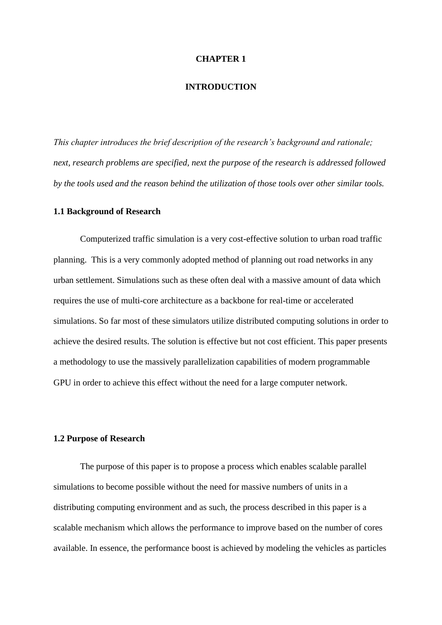#### **INTRODUCTION**

*This chapter introduces the brief description of the research's background and rationale; next, research problems are specified, next the purpose of the research is addressed followed by the tools used and the reason behind the utilization of those tools over other similar tools.*

#### **1.1 Background of Research**

Computerized traffic simulation is a very cost-effective solution to urban road traffic planning. This is a very commonly adopted method of planning out road networks in any urban settlement. Simulations such as these often deal with a massive amount of data which requires the use of multi-core architecture as a backbone for real-time or accelerated simulations. So far most of these simulators utilize distributed computing solutions in order to achieve the desired results. The solution is effective but not cost efficient. This paper presents a methodology to use the massively parallelization capabilities of modern programmable GPU in order to achieve this effect without the need for a large computer network.

# **1.2 Purpose of Research**

The purpose of this paper is to propose a process which enables scalable parallel simulations to become possible without the need for massive numbers of units in a distributing computing environment and as such, the process described in this paper is a scalable mechanism which allows the performance to improve based on the number of cores available. In essence, the performance boost is achieved by modeling the vehicles as particles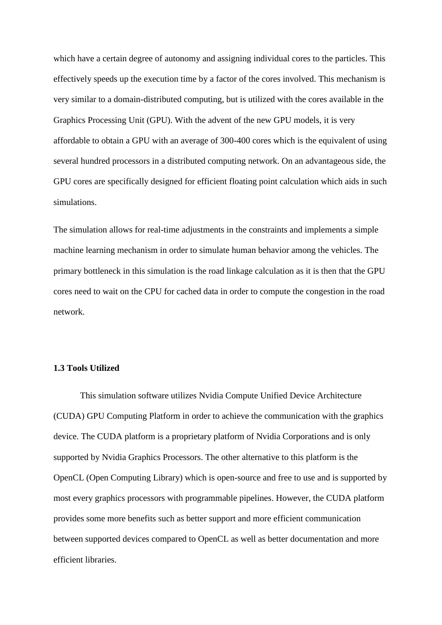which have a certain degree of autonomy and assigning individual cores to the particles. This effectively speeds up the execution time by a factor of the cores involved. This mechanism is very similar to a domain-distributed computing, but is utilized with the cores available in the Graphics Processing Unit (GPU). With the advent of the new GPU models, it is very affordable to obtain a GPU with an average of 300-400 cores which is the equivalent of using several hundred processors in a distributed computing network. On an advantageous side, the GPU cores are specifically designed for efficient floating point calculation which aids in such simulations.

The simulation allows for real-time adjustments in the constraints and implements a simple machine learning mechanism in order to simulate human behavior among the vehicles. The primary bottleneck in this simulation is the road linkage calculation as it is then that the GPU cores need to wait on the CPU for cached data in order to compute the congestion in the road network.

## **1.3 Tools Utilized**

This simulation software utilizes Nvidia Compute Unified Device Architecture (CUDA) GPU Computing Platform in order to achieve the communication with the graphics device. The CUDA platform is a proprietary platform of Nvidia Corporations and is only supported by Nvidia Graphics Processors. The other alternative to this platform is the OpenCL (Open Computing Library) which is open-source and free to use and is supported by most every graphics processors with programmable pipelines. However, the CUDA platform provides some more benefits such as better support and more efficient communication between supported devices compared to OpenCL as well as better documentation and more efficient libraries.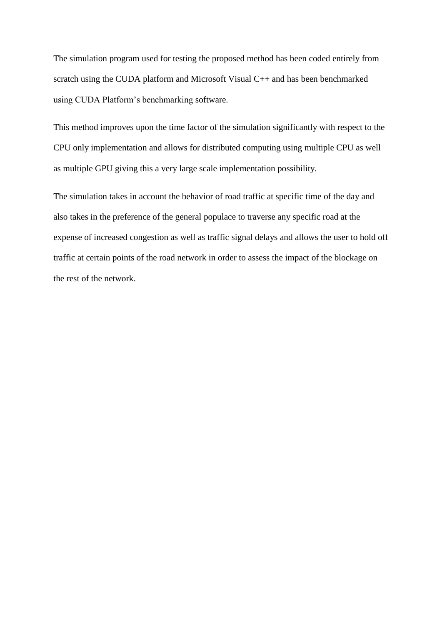The simulation program used for testing the proposed method has been coded entirely from scratch using the CUDA platform and Microsoft Visual C++ and has been benchmarked using CUDA Platform's benchmarking software.

This method improves upon the time factor of the simulation significantly with respect to the CPU only implementation and allows for distributed computing using multiple CPU as well as multiple GPU giving this a very large scale implementation possibility.

The simulation takes in account the behavior of road traffic at specific time of the day and also takes in the preference of the general populace to traverse any specific road at the expense of increased congestion as well as traffic signal delays and allows the user to hold off traffic at certain points of the road network in order to assess the impact of the blockage on the rest of the network.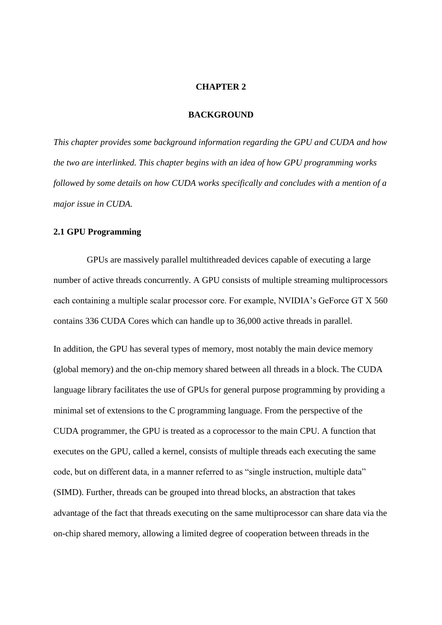#### **BACKGROUND**

*This chapter provides some background information regarding the GPU and CUDA and how the two are interlinked. This chapter begins with an idea of how GPU programming works followed by some details on how CUDA works specifically and concludes with a mention of a major issue in CUDA.*

# **2.1 GPU Programming**

GPUs are massively parallel multithreaded devices capable of executing a large number of active threads concurrently. A GPU consists of multiple streaming multiprocessors each containing a multiple scalar processor core. For example, NVIDIA's GeForce GT X 560 contains 336 CUDA Cores which can handle up to 36,000 active threads in parallel.

In addition, the GPU has several types of memory, most notably the main device memory (global memory) and the on-chip memory shared between all threads in a block. The CUDA language library facilitates the use of GPUs for general purpose programming by providing a minimal set of extensions to the C programming language. From the perspective of the CUDA programmer, the GPU is treated as a coprocessor to the main CPU. A function that executes on the GPU, called a kernel, consists of multiple threads each executing the same code, but on different data, in a manner referred to as "single instruction, multiple data" (SIMD). Further, threads can be grouped into thread blocks, an abstraction that takes advantage of the fact that threads executing on the same multiprocessor can share data via the on-chip shared memory, allowing a limited degree of cooperation between threads in the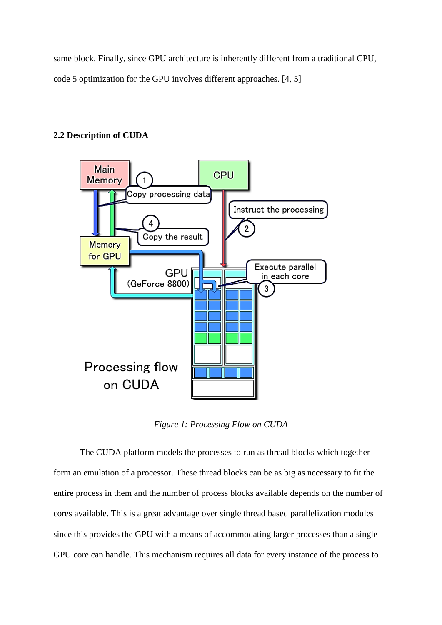same block. Finally, since GPU architecture is inherently different from a traditional CPU, code 5 optimization for the GPU involves different approaches. [4, 5]

# **2.2 Description of CUDA**



*Figure 1: Processing Flow on CUDA*

The CUDA platform models the processes to run as thread blocks which together form an emulation of a processor. These thread blocks can be as big as necessary to fit the entire process in them and the number of process blocks available depends on the number of cores available. This is a great advantage over single thread based parallelization modules since this provides the GPU with a means of accommodating larger processes than a single GPU core can handle. This mechanism requires all data for every instance of the process to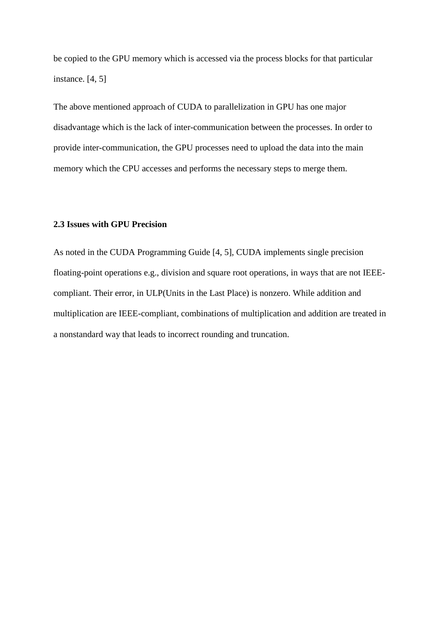be copied to the GPU memory which is accessed via the process blocks for that particular instance. [4, 5]

The above mentioned approach of CUDA to parallelization in GPU has one major disadvantage which is the lack of inter-communication between the processes. In order to provide inter-communication, the GPU processes need to upload the data into the main memory which the CPU accesses and performs the necessary steps to merge them.

# **2.3 Issues with GPU Precision**

As noted in the CUDA Programming Guide [4, 5], CUDA implements single precision floating-point operations e.g., division and square root operations, in ways that are not IEEEcompliant. Their error, in ULP(Units in the Last Place) is nonzero. While addition and multiplication are IEEE-compliant, combinations of multiplication and addition are treated in a nonstandard way that leads to incorrect rounding and truncation.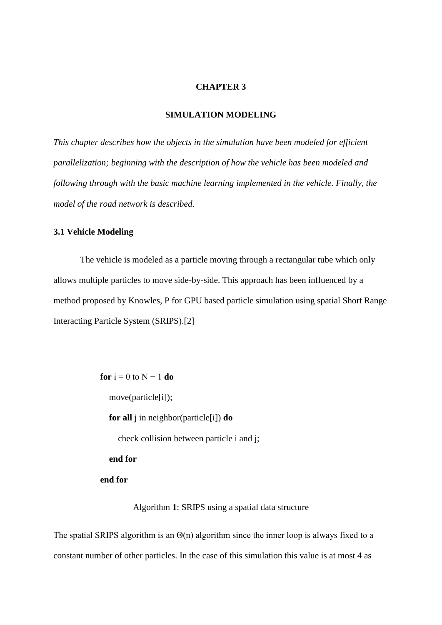#### **SIMULATION MODELING**

*This chapter describes how the objects in the simulation have been modeled for efficient parallelization; beginning with the description of how the vehicle has been modeled and following through with the basic machine learning implemented in the vehicle. Finally, the model of the road network is described.*

# **3.1 Vehicle Modeling**

The vehicle is modeled as a particle moving through a rectangular tube which only allows multiple particles to move side-by-side. This approach has been influenced by a method proposed by Knowles, P for GPU based particle simulation using spatial Short Range Interacting Particle System (SRIPS).[2]

> **for**  $i = 0$  to  $N - 1$  **do** move(particle[i]); **for all** j in neighbor(particle[i]) **do** check collision between particle i and j;  **end for end for**

> > Algorithm **1**: SRIPS using a spatial data structure

The spatial SRIPS algorithm is an  $\Theta(n)$  algorithm since the inner loop is always fixed to a constant number of other particles. In the case of this simulation this value is at most 4 as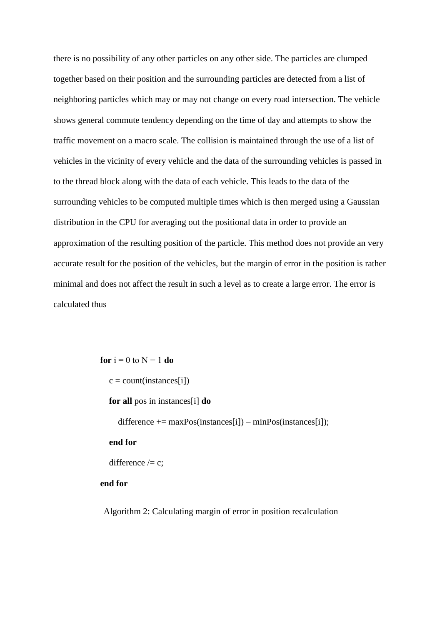there is no possibility of any other particles on any other side. The particles are clumped together based on their position and the surrounding particles are detected from a list of neighboring particles which may or may not change on every road intersection. The vehicle shows general commute tendency depending on the time of day and attempts to show the traffic movement on a macro scale. The collision is maintained through the use of a list of vehicles in the vicinity of every vehicle and the data of the surrounding vehicles is passed in to the thread block along with the data of each vehicle. This leads to the data of the surrounding vehicles to be computed multiple times which is then merged using a Gaussian distribution in the CPU for averaging out the positional data in order to provide an approximation of the resulting position of the particle. This method does not provide an very accurate result for the position of the vehicles, but the margin of error in the position is rather minimal and does not affect the result in such a level as to create a large error. The error is calculated thus

**for**  $i = 0$  to  $N - 1$  **do** 

 $c = count(instances[i])$ 

**for all** pos in instances[i] **do**

difference  $+=$  maxPos(instances[i]) – minPos(instances[i]);

 **end for**

difference  $\ell$  = c;

**end for**

Algorithm 2: Calculating margin of error in position recalculation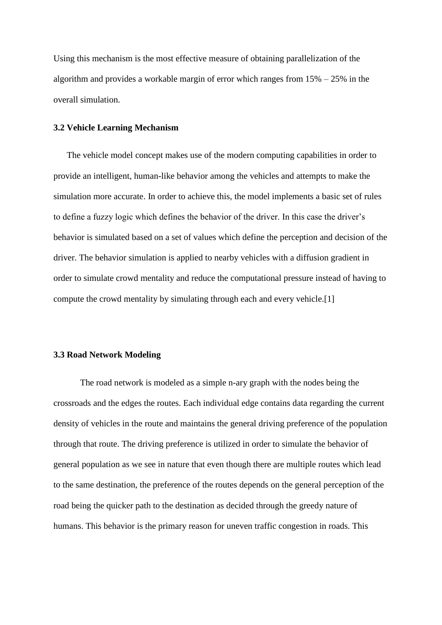Using this mechanism is the most effective measure of obtaining parallelization of the algorithm and provides a workable margin of error which ranges from  $15% - 25%$  in the overall simulation.

#### **3.2 Vehicle Learning Mechanism**

The vehicle model concept makes use of the modern computing capabilities in order to provide an intelligent, human-like behavior among the vehicles and attempts to make the simulation more accurate. In order to achieve this, the model implements a basic set of rules to define a fuzzy logic which defines the behavior of the driver. In this case the driver's behavior is simulated based on a set of values which define the perception and decision of the driver. The behavior simulation is applied to nearby vehicles with a diffusion gradient in order to simulate crowd mentality and reduce the computational pressure instead of having to compute the crowd mentality by simulating through each and every vehicle.[1]

# **3.3 Road Network Modeling**

The road network is modeled as a simple n-ary graph with the nodes being the crossroads and the edges the routes. Each individual edge contains data regarding the current density of vehicles in the route and maintains the general driving preference of the population through that route. The driving preference is utilized in order to simulate the behavior of general population as we see in nature that even though there are multiple routes which lead to the same destination, the preference of the routes depends on the general perception of the road being the quicker path to the destination as decided through the greedy nature of humans. This behavior is the primary reason for uneven traffic congestion in roads. This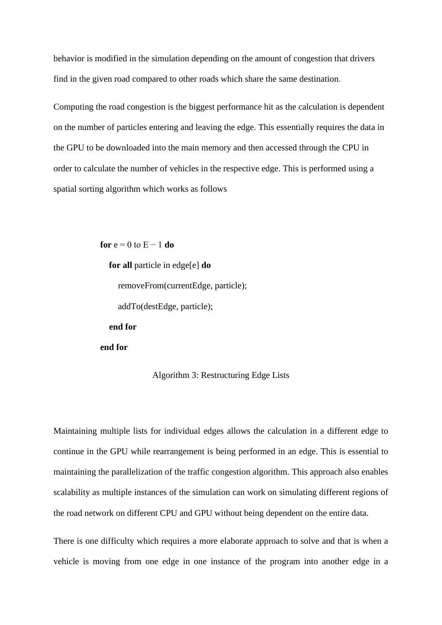behavior is modified in the simulation depending on the amount of congestion that drivers find in the given road compared to other roads which share the same destination.

Computing the road congestion is the biggest performance hit as the calculation is dependent on the number of particles entering and leaving the edge. This essentially requires the data in the GPU to be downloaded into the main memory and then accessed through the CPU in order to calculate the number of vehicles in the respective edge. This is performed using a spatial sorting algorithm which works as follows

> **for**  $e = 0$  to  $E - 1$  **do for all** particle in edge[e] **do** removeFrom(currentEdge, particle); addTo(destEdge, particle);  **end for end for**

#### Algorithm 3: Restructuring Edge Lists

Maintaining multiple lists for individual edges allows the calculation in a different edge to continue in the GPU while rearrangement is being performed in an edge. This is essential to maintaining the parallelization of the traffic congestion algorithm. This approach also enables scalability as multiple instances of the simulation can work on simulating different regions of the road network on different CPU and GPU without being dependent on the entire data.

There is one difficulty which requires a more elaborate approach to solve and that is when a vehicle is moving from one edge in one instance of the program into another edge in a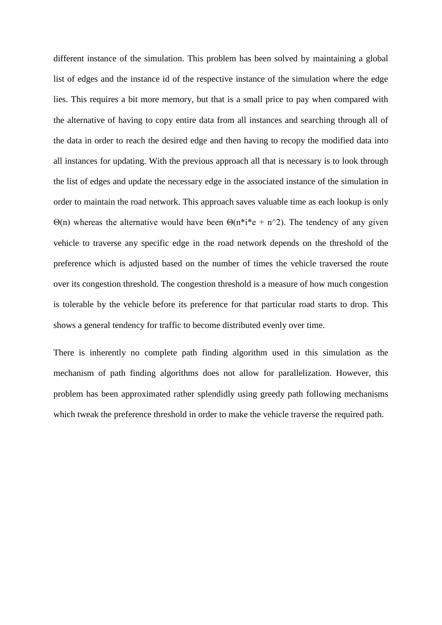different instance of the simulation. This problem has been solved by maintaining a global list of edges and the instance id of the respective instance of the simulation where the edge lies. This requires a bit more memory, but that is a small price to pay when compared with the alternative of having to copy entire data from all instances and searching through all of the data in order to reach the desired edge and then having to recopy the modified data into all instances for updating. With the previous approach all that is necessary is to look through the list of edges and update the necessary edge in the associated instance of the simulation in order to maintain the road network. This approach saves valuable time as each lookup is only Θ(n) whereas the alternative would have been  $Θ(n^*i^*e + n^2)$ . The tendency of any given vehicle to traverse any specific edge in the road network depends on the threshold of the preference which is adjusted based on the number of times the vehicle traversed the route over its congestion threshold. The congestion threshold is a measure of how much congestion is tolerable by the vehicle before its preference for that particular road starts to drop. This shows a general tendency for traffic to become distributed evenly over time.

There is inherently no complete path finding algorithm used in this simulation as the mechanism of path finding algorithms does not allow for parallelization. However, this problem has been approximated rather splendidly using greedy path following mechanisms which tweak the preference threshold in order to make the vehicle traverse the required path.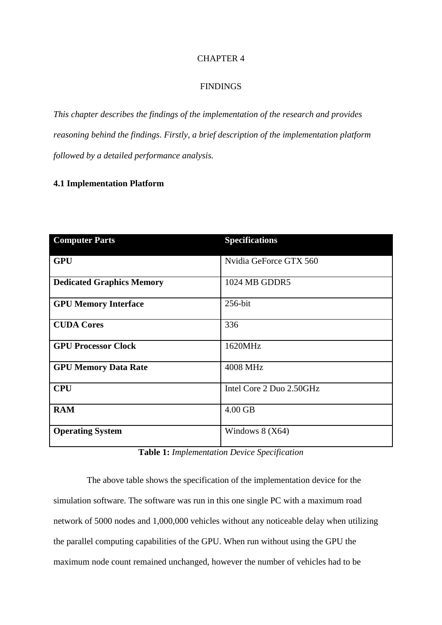#### FINDINGS

*This chapter describes the findings of the implementation of the research and provides reasoning behind the findings. Firstly, a brief description of the implementation platform followed by a detailed performance analysis.*

# **4.1 Implementation Platform**

| <b>Computer Parts</b>            | <b>Specifications</b>    |
|----------------------------------|--------------------------|
| <b>GPU</b>                       | Nvidia GeForce GTX 560   |
| <b>Dedicated Graphics Memory</b> | 1024 MB GDDR5            |
| <b>GPU Memory Interface</b>      | 256-bit                  |
| <b>CUDA Cores</b>                | 336                      |
| <b>GPU Processor Clock</b>       | 1620MHz                  |
| <b>GPU Memory Data Rate</b>      | 4008 MHz                 |
| <b>CPU</b>                       | Intel Core 2 Duo 2.50GHz |
| <b>RAM</b>                       | 4.00 GB                  |
| <b>Operating System</b>          | Windows $8$ (X64)        |

**Table 1:** *Implementation Device Specification*

The above table shows the specification of the implementation device for the simulation software. The software was run in this one single PC with a maximum road network of 5000 nodes and 1,000,000 vehicles without any noticeable delay when utilizing the parallel computing capabilities of the GPU. When run without using the GPU the maximum node count remained unchanged, however the number of vehicles had to be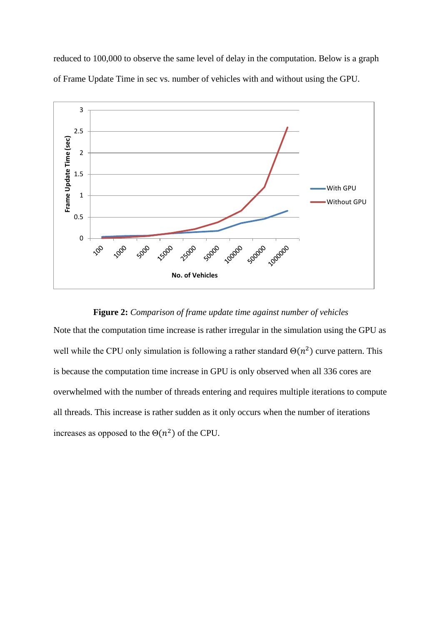reduced to 100,000 to observe the same level of delay in the computation. Below is a graph of Frame Update Time in sec vs. number of vehicles with and without using the GPU.



# **Figure 2:** *Comparison of frame update time against number of vehicles*

Note that the computation time increase is rather irregular in the simulation using the GPU as well while the CPU only simulation is following a rather standard  $\Theta(n^2)$  curve pattern. This is because the computation time increase in GPU is only observed when all 336 cores are overwhelmed with the number of threads entering and requires multiple iterations to compute all threads. This increase is rather sudden as it only occurs when the number of iterations increases as opposed to the  $\Theta(n^2)$  of the CPU.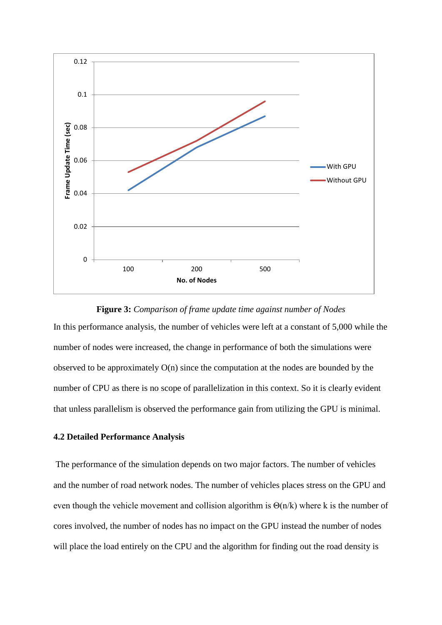

# **Figure 3:** *Comparison of frame update time against number of Nodes* In this performance analysis, the number of vehicles were left at a constant of 5,000 while the number of nodes were increased, the change in performance of both the simulations were observed to be approximately O(n) since the computation at the nodes are bounded by the number of CPU as there is no scope of parallelization in this context. So it is clearly evident that unless parallelism is observed the performance gain from utilizing the GPU is minimal.

# **4.2 Detailed Performance Analysis**

The performance of the simulation depends on two major factors. The number of vehicles and the number of road network nodes. The number of vehicles places stress on the GPU and even though the vehicle movement and collision algorithm is  $\Theta(n/k)$  where k is the number of cores involved, the number of nodes has no impact on the GPU instead the number of nodes will place the load entirely on the CPU and the algorithm for finding out the road density is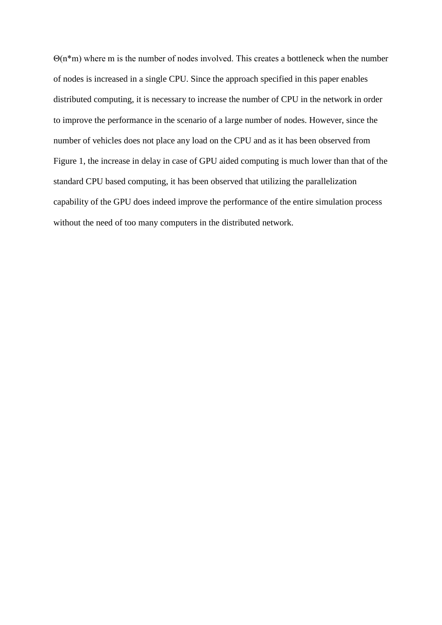Θ(n\*m) where m is the number of nodes involved. This creates a bottleneck when the number of nodes is increased in a single CPU. Since the approach specified in this paper enables distributed computing, it is necessary to increase the number of CPU in the network in order to improve the performance in the scenario of a large number of nodes. However, since the number of vehicles does not place any load on the CPU and as it has been observed from Figure 1, the increase in delay in case of GPU aided computing is much lower than that of the standard CPU based computing, it has been observed that utilizing the parallelization capability of the GPU does indeed improve the performance of the entire simulation process without the need of too many computers in the distributed network.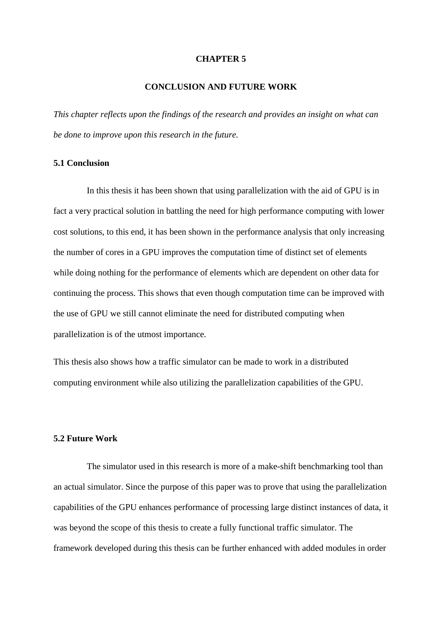#### **CONCLUSION AND FUTURE WORK**

*This chapter reflects upon the findings of the research and provides an insight on what can be done to improve upon this research in the future.*

# **5.1 Conclusion**

In this thesis it has been shown that using parallelization with the aid of GPU is in fact a very practical solution in battling the need for high performance computing with lower cost solutions, to this end, it has been shown in the performance analysis that only increasing the number of cores in a GPU improves the computation time of distinct set of elements while doing nothing for the performance of elements which are dependent on other data for continuing the process. This shows that even though computation time can be improved with the use of GPU we still cannot eliminate the need for distributed computing when parallelization is of the utmost importance.

This thesis also shows how a traffic simulator can be made to work in a distributed computing environment while also utilizing the parallelization capabilities of the GPU.

# **5.2 Future Work**

The simulator used in this research is more of a make-shift benchmarking tool than an actual simulator. Since the purpose of this paper was to prove that using the parallelization capabilities of the GPU enhances performance of processing large distinct instances of data, it was beyond the scope of this thesis to create a fully functional traffic simulator. The framework developed during this thesis can be further enhanced with added modules in order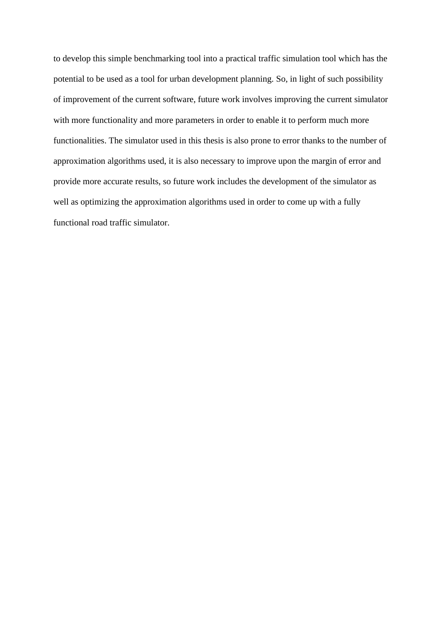to develop this simple benchmarking tool into a practical traffic simulation tool which has the potential to be used as a tool for urban development planning. So, in light of such possibility of improvement of the current software, future work involves improving the current simulator with more functionality and more parameters in order to enable it to perform much more functionalities. The simulator used in this thesis is also prone to error thanks to the number of approximation algorithms used, it is also necessary to improve upon the margin of error and provide more accurate results, so future work includes the development of the simulator as well as optimizing the approximation algorithms used in order to come up with a fully functional road traffic simulator.